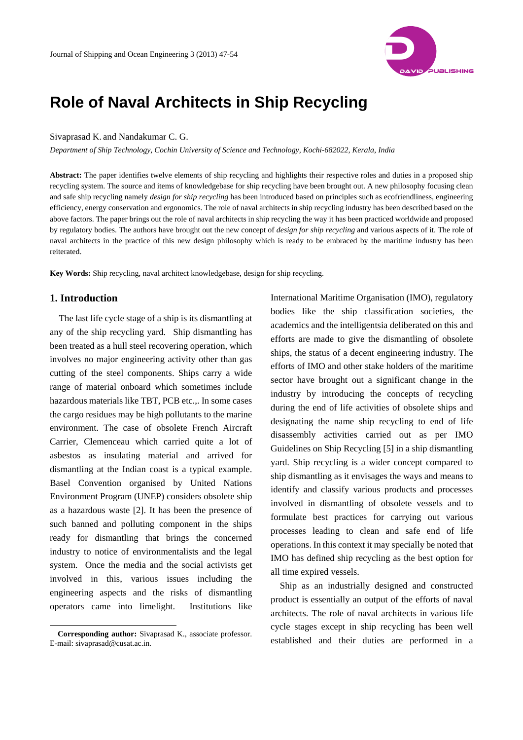

# **Role of Naval Architects in Ship Recycling**

#### Sivaprasad K. and Nandakumar C. G.

*Department of Ship Technology, Cochin University of Science and Technology, Kochi-682022, Kerala, India* 

**Abstract:** The paper identifies twelve elements of ship recycling and highlights their respective roles and duties in a proposed ship recycling system. The source and items of knowledgebase for ship recycling have been brought out. A new philosophy focusing clean and safe ship recycling namely *design for ship recycling* has been introduced based on principles such as ecofriendliness, engineering efficiency, energy conservation and ergonomics. The role of naval architects in ship recycling industry has been described based on the above factors. The paper brings out the role of naval architects in ship recycling the way it has been practiced worldwide and proposed by regulatory bodies. The authors have brought out the new concept of *design for ship recycling* and various aspects of it. The role of naval architects in the practice of this new design philosophy which is ready to be embraced by the maritime industry has been reiterated.

**Key Words:** Ship recycling, naval architect knowledgebase, design for ship recycling.

#### **1. Introduction**

 $\overline{a}$ 

The last life cycle stage of a ship is its dismantling at any of the ship recycling yard. Ship dismantling has been treated as a hull steel recovering operation, which involves no major engineering activity other than gas cutting of the steel components. Ships carry a wide range of material onboard which sometimes include hazardous materials like TBT, PCB etc.,. In some cases the cargo residues may be high pollutants to the marine environment. The case of obsolete French Aircraft Carrier, Clemenceau which carried quite a lot of asbestos as insulating material and arrived for dismantling at the Indian coast is a typical example. Basel Convention organised by United Nations Environment Program (UNEP) considers obsolete ship as a hazardous waste [2]. It has been the presence of such banned and polluting component in the ships ready for dismantling that brings the concerned industry to notice of environmentalists and the legal system. Once the media and the social activists get involved in this, various issues including the engineering aspects and the risks of dismantling operators came into limelight. Institutions like

International Maritime Organisation (IMO), regulatory bodies like the ship classification societies, the academics and the intelligentsia deliberated on this and efforts are made to give the dismantling of obsolete ships, the status of a decent engineering industry. The efforts of IMO and other stake holders of the maritime sector have brought out a significant change in the industry by introducing the concepts of recycling during the end of life activities of obsolete ships and designating the name ship recycling to end of life disassembly activities carried out as per IMO Guidelines on Ship Recycling [5] in a ship dismantling yard. Ship recycling is a wider concept compared to ship dismantling as it envisages the ways and means to identify and classify various products and processes involved in dismantling of obsolete vessels and to formulate best practices for carrying out various processes leading to clean and safe end of life operations. In this context it may specially be noted that IMO has defined ship recycling as the best option for all time expired vessels.

Ship as an industrially designed and constructed product is essentially an output of the efforts of naval architects. The role of naval architects in various life cycle stages except in ship recycling has been well established and their duties are performed in a

**Corresponding author:** Sivaprasad K., associate professor. E-mail: sivaprasad@cusat.ac.in.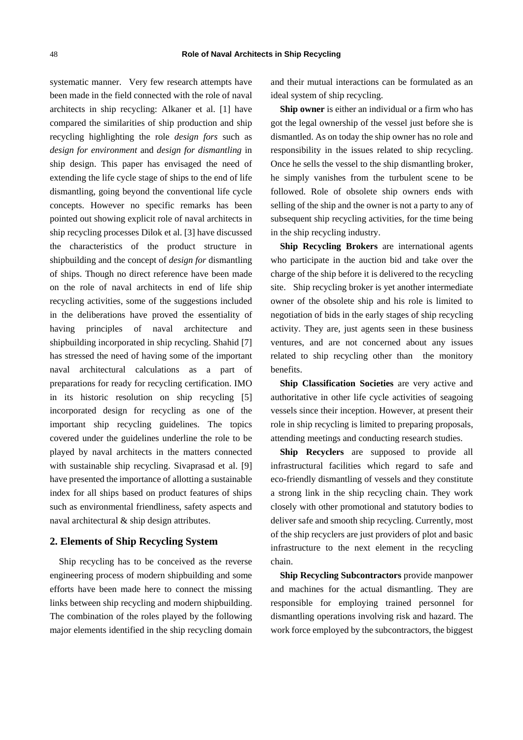systematic manner. Very few research attempts have been made in the field connected with the role of naval architects in ship recycling: Alkaner et al. [1] have compared the similarities of ship production and ship recycling highlighting the role *design fors* such as *design for environment* and *design for dismantling* in ship design. This paper has envisaged the need of extending the life cycle stage of ships to the end of life dismantling, going beyond the conventional life cycle concepts. However no specific remarks has been pointed out showing explicit role of naval architects in ship recycling processes Dilok et al. [3] have discussed the characteristics of the product structure in shipbuilding and the concept of *design for* dismantling of ships. Though no direct reference have been made on the role of naval architects in end of life ship recycling activities, some of the suggestions included in the deliberations have proved the essentiality of having principles of naval architecture and shipbuilding incorporated in ship recycling. Shahid [7] has stressed the need of having some of the important naval architectural calculations as a part of preparations for ready for recycling certification. IMO in its historic resolution on ship recycling [5] incorporated design for recycling as one of the important ship recycling guidelines. The topics covered under the guidelines underline the role to be played by naval architects in the matters connected with sustainable ship recycling. Sivaprasad et al. [9] have presented the importance of allotting a sustainable index for all ships based on product features of ships such as environmental friendliness, safety aspects and naval architectural & ship design attributes.

### **2. Elements of Ship Recycling System**

Ship recycling has to be conceived as the reverse engineering process of modern shipbuilding and some efforts have been made here to connect the missing links between ship recycling and modern shipbuilding. The combination of the roles played by the following major elements identified in the ship recycling domain and their mutual interactions can be formulated as an ideal system of ship recycling.

**Ship owner** is either an individual or a firm who has got the legal ownership of the vessel just before she is dismantled. As on today the ship owner has no role and responsibility in the issues related to ship recycling. Once he sells the vessel to the ship dismantling broker, he simply vanishes from the turbulent scene to be followed. Role of obsolete ship owners ends with selling of the ship and the owner is not a party to any of subsequent ship recycling activities, for the time being in the ship recycling industry.

**Ship Recycling Brokers** are international agents who participate in the auction bid and take over the charge of the ship before it is delivered to the recycling site. Ship recycling broker is yet another intermediate owner of the obsolete ship and his role is limited to negotiation of bids in the early stages of ship recycling activity. They are, just agents seen in these business ventures, and are not concerned about any issues related to ship recycling other than the monitory benefits.

**Ship Classification Societies** are very active and authoritative in other life cycle activities of seagoing vessels since their inception. However, at present their role in ship recycling is limited to preparing proposals, attending meetings and conducting research studies.

**Ship Recyclers** are supposed to provide all infrastructural facilities which regard to safe and eco-friendly dismantling of vessels and they constitute a strong link in the ship recycling chain. They work closely with other promotional and statutory bodies to deliver safe and smooth ship recycling. Currently, most of the ship recyclers are just providers of plot and basic infrastructure to the next element in the recycling chain.

**Ship Recycling Subcontractors** provide manpower and machines for the actual dismantling. They are responsible for employing trained personnel for dismantling operations involving risk and hazard. The work force employed by the subcontractors, the biggest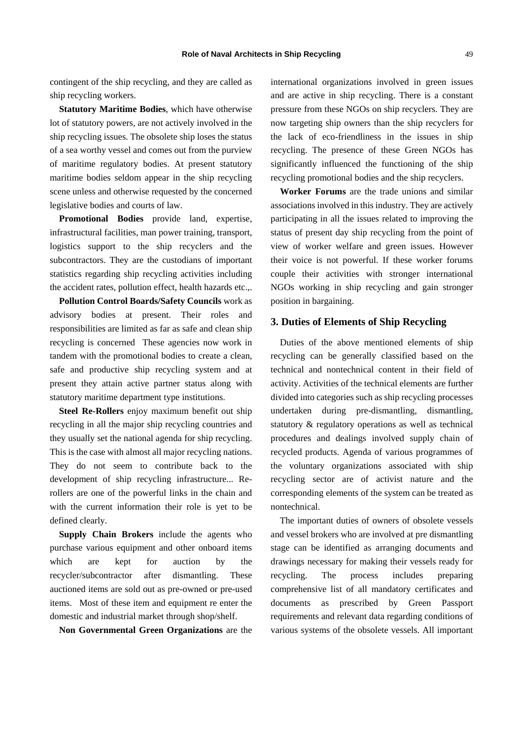contingent of the ship recycling, and they are called as ship recycling workers.

**Statutory Maritime Bodies**, which have otherwise lot of statutory powers, are not actively involved in the ship recycling issues. The obsolete ship loses the status of a sea worthy vessel and comes out from the purview of maritime regulatory bodies. At present statutory maritime bodies seldom appear in the ship recycling scene unless and otherwise requested by the concerned legislative bodies and courts of law.

**Promotional Bodies** provide land, expertise, infrastructural facilities, man power training, transport, logistics support to the ship recyclers and the subcontractors. They are the custodians of important statistics regarding ship recycling activities including the accident rates, pollution effect, health hazards etc.,.

**Pollution Control Boards/Safety Councils** work as advisory bodies at present. Their roles and responsibilities are limited as far as safe and clean ship recycling is concerned These agencies now work in tandem with the promotional bodies to create a clean, safe and productive ship recycling system and at present they attain active partner status along with statutory maritime department type institutions.

**Steel Re-Rollers** enjoy maximum benefit out ship recycling in all the major ship recycling countries and they usually set the national agenda for ship recycling. This is the case with almost all major recycling nations. They do not seem to contribute back to the development of ship recycling infrastructure... Rerollers are one of the powerful links in the chain and with the current information their role is yet to be defined clearly.

**Supply Chain Brokers** include the agents who purchase various equipment and other onboard items which are kept for auction by the recycler/subcontractor after dismantling. These auctioned items are sold out as pre-owned or pre-used items. Most of these item and equipment re enter the domestic and industrial market through shop/shelf.

**Non Governmental Green Organizations** are the

international organizations involved in green issues and are active in ship recycling. There is a constant pressure from these NGOs on ship recyclers. They are now targeting ship owners than the ship recyclers for the lack of eco-friendliness in the issues in ship recycling. The presence of these Green NGOs has significantly influenced the functioning of the ship recycling promotional bodies and the ship recyclers.

**Worker Forums** are the trade unions and similar associations involved in this industry. They are actively participating in all the issues related to improving the status of present day ship recycling from the point of view of worker welfare and green issues. However their voice is not powerful. If these worker forums couple their activities with stronger international NGOs working in ship recycling and gain stronger position in bargaining.

### **3. Duties of Elements of Ship Recycling**

Duties of the above mentioned elements of ship recycling can be generally classified based on the technical and nontechnical content in their field of activity. Activities of the technical elements are further divided into categories such as ship recycling processes undertaken during pre-dismantling, dismantling, statutory & regulatory operations as well as technical procedures and dealings involved supply chain of recycled products. Agenda of various programmes of the voluntary organizations associated with ship recycling sector are of activist nature and the corresponding elements of the system can be treated as nontechnical.

The important duties of owners of obsolete vessels and vessel brokers who are involved at pre dismantling stage can be identified as arranging documents and drawings necessary for making their vessels ready for recycling. The process includes preparing comprehensive list of all mandatory certificates and documents as prescribed by Green Passport requirements and relevant data regarding conditions of various systems of the obsolete vessels. All important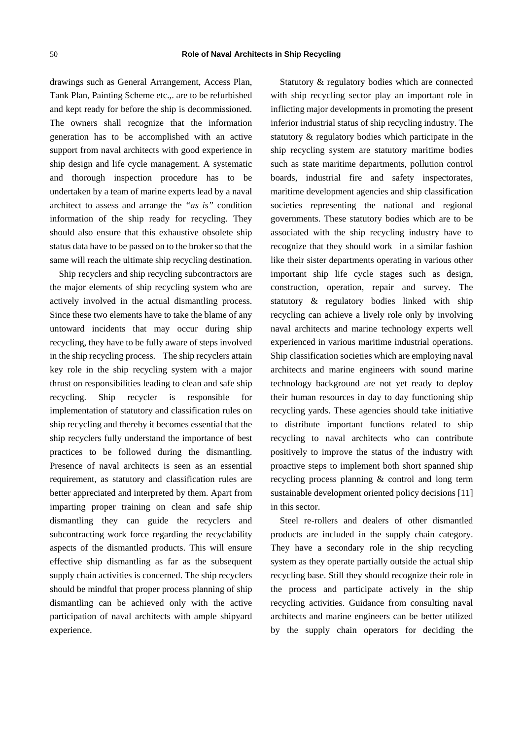drawings such as General Arrangement, Access Plan, Tank Plan, Painting Scheme etc.,. are to be refurbished and kept ready for before the ship is decommissioned. The owners shall recognize that the information generation has to be accomplished with an active support from naval architects with good experience in ship design and life cycle management. A systematic and thorough inspection procedure has to be undertaken by a team of marine experts lead by a naval architect to assess and arrange the *"as is"* condition information of the ship ready for recycling. They should also ensure that this exhaustive obsolete ship status data have to be passed on to the broker so that the same will reach the ultimate ship recycling destination.

Ship recyclers and ship recycling subcontractors are the major elements of ship recycling system who are actively involved in the actual dismantling process. Since these two elements have to take the blame of any untoward incidents that may occur during ship recycling, they have to be fully aware of steps involved in the ship recycling process. The ship recyclers attain key role in the ship recycling system with a major thrust on responsibilities leading to clean and safe ship recycling. Ship recycler is responsible for implementation of statutory and classification rules on ship recycling and thereby it becomes essential that the ship recyclers fully understand the importance of best practices to be followed during the dismantling. Presence of naval architects is seen as an essential requirement, as statutory and classification rules are better appreciated and interpreted by them. Apart from imparting proper training on clean and safe ship dismantling they can guide the recyclers and subcontracting work force regarding the recyclability aspects of the dismantled products. This will ensure effective ship dismantling as far as the subsequent supply chain activities is concerned. The ship recyclers should be mindful that proper process planning of ship dismantling can be achieved only with the active participation of naval architects with ample shipyard experience.

Statutory & regulatory bodies which are connected with ship recycling sector play an important role in inflicting major developments in promoting the present inferior industrial status of ship recycling industry. The statutory & regulatory bodies which participate in the ship recycling system are statutory maritime bodies such as state maritime departments, pollution control boards, industrial fire and safety inspectorates, maritime development agencies and ship classification societies representing the national and regional governments. These statutory bodies which are to be associated with the ship recycling industry have to recognize that they should work in a similar fashion like their sister departments operating in various other important ship life cycle stages such as design, construction, operation, repair and survey. The statutory & regulatory bodies linked with ship recycling can achieve a lively role only by involving naval architects and marine technology experts well experienced in various maritime industrial operations. Ship classification societies which are employing naval architects and marine engineers with sound marine technology background are not yet ready to deploy their human resources in day to day functioning ship recycling yards. These agencies should take initiative to distribute important functions related to ship recycling to naval architects who can contribute positively to improve the status of the industry with proactive steps to implement both short spanned ship recycling process planning & control and long term sustainable development oriented policy decisions [11] in this sector.

Steel re-rollers and dealers of other dismantled products are included in the supply chain category. They have a secondary role in the ship recycling system as they operate partially outside the actual ship recycling base. Still they should recognize their role in the process and participate actively in the ship recycling activities. Guidance from consulting naval architects and marine engineers can be better utilized by the supply chain operators for deciding the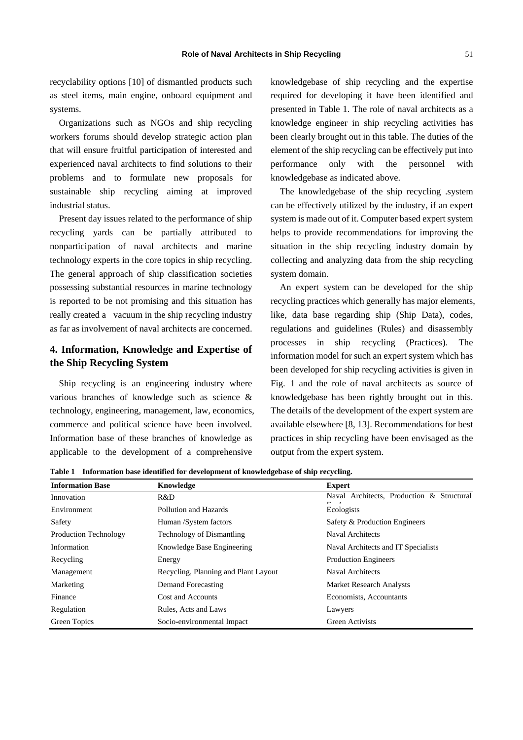recyclability options [10] of dismantled products such as steel items, main engine, onboard equipment and systems.

Organizations such as NGOs and ship recycling workers forums should develop strategic action plan that will ensure fruitful participation of interested and experienced naval architects to find solutions to their problems and to formulate new proposals for sustainable ship recycling aiming at improved industrial status.

Present day issues related to the performance of ship recycling yards can be partially attributed to nonparticipation of naval architects and marine technology experts in the core topics in ship recycling. The general approach of ship classification societies possessing substantial resources in marine technology is reported to be not promising and this situation has really created a vacuum in the ship recycling industry as far as involvement of naval architects are concerned.

## **4. Information, Knowledge and Expertise of the Ship Recycling System**

Ship recycling is an engineering industry where various branches of knowledge such as science & technology, engineering, management, law, economics, commerce and political science have been involved. Information base of these branches of knowledge as applicable to the development of a comprehensive

knowledgebase of ship recycling and the expertise required for developing it have been identified and presented in Table 1. The role of naval architects as a knowledge engineer in ship recycling activities has been clearly brought out in this table. The duties of the element of the ship recycling can be effectively put into performance only with the personnel with knowledgebase as indicated above.

The knowledgebase of the ship recycling .system can be effectively utilized by the industry, if an expert system is made out of it. Computer based expert system helps to provide recommendations for improving the situation in the ship recycling industry domain by collecting and analyzing data from the ship recycling system domain.

An expert system can be developed for the ship recycling practices which generally has major elements, like, data base regarding ship (Ship Data), codes, regulations and guidelines (Rules) and disassembly processes in ship recycling (Practices). The information model for such an expert system which has been developed for ship recycling activities is given in Fig. 1 and the role of naval architects as source of knowledgebase has been rightly brought out in this. The details of the development of the expert system are available elsewhere [8, 13]. Recommendations for best practices in ship recycling have been envisaged as the output from the expert system.

| <b>Information Base</b>      | Knowledge                            | <b>Expert</b>                             |
|------------------------------|--------------------------------------|-------------------------------------------|
| Innovation                   | R&D                                  | Naval Architects, Production & Structural |
| Environment                  | Pollution and Hazards                | Ecologists                                |
| Safety                       | Human /System factors                | Safety & Production Engineers             |
| <b>Production Technology</b> | Technology of Dismantling            | Naval Architects                          |
| Information                  | Knowledge Base Engineering           | Naval Architects and IT Specialists       |
| Recycling                    | Energy                               | <b>Production Engineers</b>               |
| Management                   | Recycling, Planning and Plant Layout | Naval Architects                          |
| Marketing                    | Demand Forecasting                   | <b>Market Research Analysts</b>           |
| Finance                      | Cost and Accounts                    | Economists, Accountants                   |
| Regulation                   | Rules, Acts and Laws                 | Lawyers                                   |
| Green Topics                 | Socio-environmental Impact           | <b>Green Activists</b>                    |

**Table 1 Information base identified for development of knowledgebase of ship recycling.**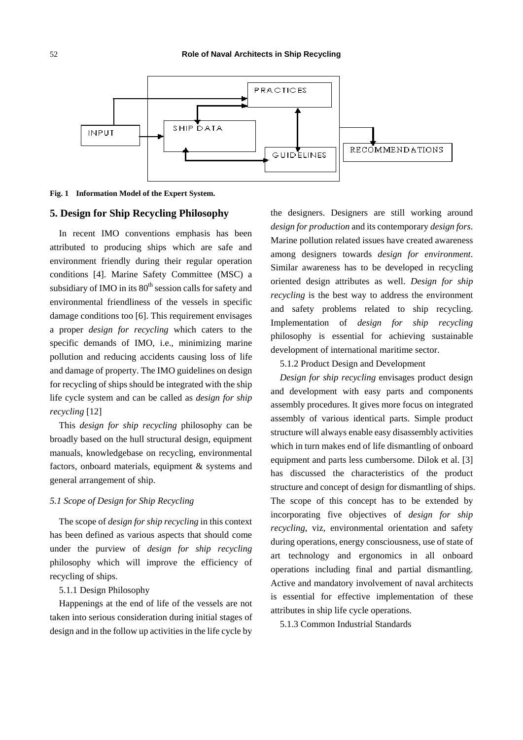

**Fig. 1 Information Model of the Expert System.**

#### **5. Design for Ship Recycling Philosophy**

In recent IMO conventions emphasis has been attributed to producing ships which are safe and environment friendly during their regular operation conditions [4]. Marine Safety Committee (MSC) a subsidiary of IMO in its  $80<sup>th</sup>$  session calls for safety and environmental friendliness of the vessels in specific damage conditions too [6]. This requirement envisages a proper *design for recycling* which caters to the specific demands of IMO, i.e., minimizing marine pollution and reducing accidents causing loss of life and damage of property. The IMO guidelines on design for recycling of ships should be integrated with the ship life cycle system and can be called as *design for ship recycling* [12]

This *design for ship recycling* philosophy can be broadly based on the hull structural design, equipment manuals, knowledgebase on recycling, environmental factors, onboard materials, equipment & systems and general arrangement of ship.

#### *5.1 Scope of Design for Ship Recycling*

The scope of *design for ship recycling* in this context has been defined as various aspects that should come under the purview of *design for ship recycling* philosophy which will improve the efficiency of recycling of ships.

#### 5.1.1 Design Philosophy

Happenings at the end of life of the vessels are not taken into serious consideration during initial stages of design and in the follow up activities in the life cycle by

the designers. Designers are still working around *design for production* and its contemporary *design fors*. Marine pollution related issues have created awareness among designers towards *design for environment*. Similar awareness has to be developed in recycling oriented design attributes as well. *Design for ship recycling* is the best way to address the environment and safety problems related to ship recycling. Implementation of *design for ship recycling* philosophy is essential for achieving sustainable development of international maritime sector.

5.1.2 Product Design and Development

*Design for ship recycling* envisages product design and development with easy parts and components assembly procedures. It gives more focus on integrated assembly of various identical parts. Simple product structure will always enable easy disassembly activities which in turn makes end of life dismantling of onboard equipment and parts less cumbersome. Dilok et al. [3] has discussed the characteristics of the product structure and concept of design for dismantling of ships. The scope of this concept has to be extended by incorporating five objectives of *design for ship recycling*, viz, environmental orientation and safety during operations, energy consciousness, use of state of art technology and ergonomics in all onboard operations including final and partial dismantling. Active and mandatory involvement of naval architects is essential for effective implementation of these attributes in ship life cycle operations.

5.1.3 Common Industrial Standards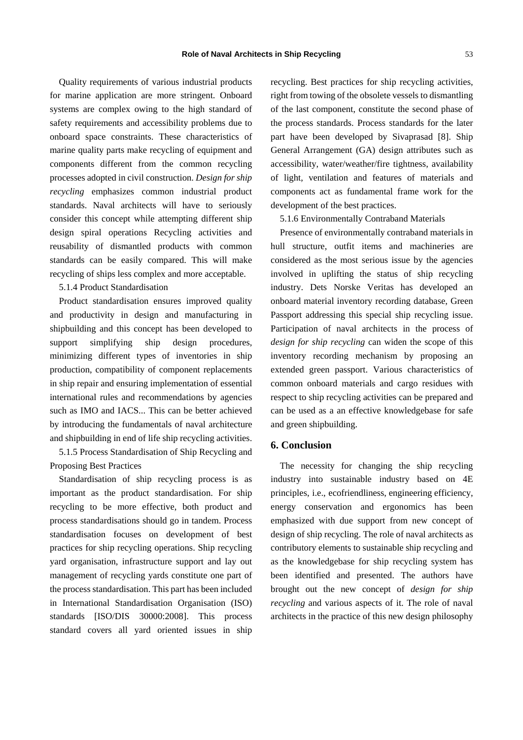Quality requirements of various industrial products for marine application are more stringent. Onboard systems are complex owing to the high standard of safety requirements and accessibility problems due to onboard space constraints. These characteristics of marine quality parts make recycling of equipment and components different from the common recycling processes adopted in civil construction. *Design for ship recycling* emphasizes common industrial product standards. Naval architects will have to seriously consider this concept while attempting different ship design spiral operations Recycling activities and reusability of dismantled products with common standards can be easily compared. This will make recycling of ships less complex and more acceptable.

5.1.4 Product Standardisation

Product standardisation ensures improved quality and productivity in design and manufacturing in shipbuilding and this concept has been developed to support simplifying ship design procedures, minimizing different types of inventories in ship production, compatibility of component replacements in ship repair and ensuring implementation of essential international rules and recommendations by agencies such as IMO and IACS... This can be better achieved by introducing the fundamentals of naval architecture and shipbuilding in end of life ship recycling activities.

5.1.5 Process Standardisation of Ship Recycling and Proposing Best Practices

Standardisation of ship recycling process is as important as the product standardisation. For ship recycling to be more effective, both product and process standardisations should go in tandem. Process standardisation focuses on development of best practices for ship recycling operations. Ship recycling yard organisation, infrastructure support and lay out management of recycling yards constitute one part of the process standardisation. This part has been included in International Standardisation Organisation (ISO) standards [ISO/DIS 30000:2008]. This process standard covers all yard oriented issues in ship

recycling. Best practices for ship recycling activities, right from towing of the obsolete vessels to dismantling of the last component, constitute the second phase of the process standards. Process standards for the later part have been developed by Sivaprasad [8]. Ship General Arrangement (GA) design attributes such as accessibility, water/weather/fire tightness, availability of light, ventilation and features of materials and components act as fundamental frame work for the development of the best practices.

5.1.6 Environmentally Contraband Materials

Presence of environmentally contraband materials in hull structure, outfit items and machineries are considered as the most serious issue by the agencies involved in uplifting the status of ship recycling industry. Dets Norske Veritas has developed an onboard material inventory recording database, Green Passport addressing this special ship recycling issue. Participation of naval architects in the process of *design for ship recycling* can widen the scope of this inventory recording mechanism by proposing an extended green passport. Various characteristics of common onboard materials and cargo residues with respect to ship recycling activities can be prepared and can be used as a an effective knowledgebase for safe and green shipbuilding.

### **6. Conclusion**

The necessity for changing the ship recycling industry into sustainable industry based on 4E principles, i.e., ecofriendliness, engineering efficiency, energy conservation and ergonomics has been emphasized with due support from new concept of design of ship recycling. The role of naval architects as contributory elements to sustainable ship recycling and as the knowledgebase for ship recycling system has been identified and presented. The authors have brought out the new concept of *design for ship recycling* and various aspects of it. The role of naval architects in the practice of this new design philosophy